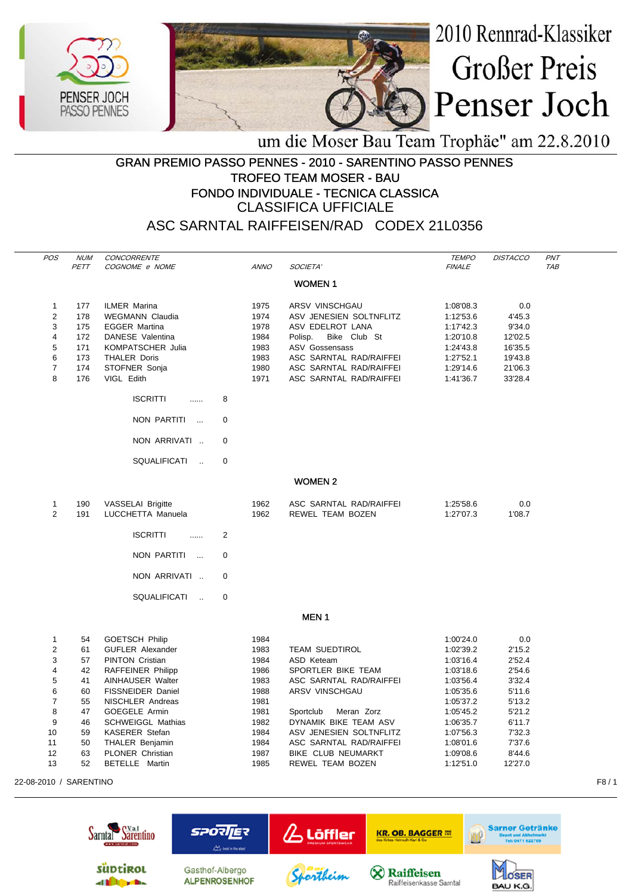



um die Moser Bau Team Trophäe" am 22.8.2010

## GRAN PREMIO PASSO PENNES - 2010 - SARENTINO PASSO PENNES TROFEO TEAM MOSER - BAU FONDO INDIVIDUALE - TECNICA CLASSICA CLASSIFICA UFFICIALE

ASC SARNTAL RAIFFEISEN/RAD CODEX 21L0356

| <b>POS</b>     | <b>NUM</b> | CONCORRENTE              |             |             |                         | <b>TEMPO</b>  | <b>DISTACCO</b> | PNT |
|----------------|------------|--------------------------|-------------|-------------|-------------------------|---------------|-----------------|-----|
|                | PETT       | COGNOME e NOME           |             | <b>ANNO</b> | SOCIETA'                | <b>FINALE</b> |                 | TAB |
|                |            |                          |             |             | <b>WOMEN1</b>           |               |                 |     |
| 1              | 177        | <b>ILMER Marina</b>      |             | 1975        | ARSV VINSCHGAU          | 1:08'08.3     | 0.0             |     |
| 2              | 178        | <b>WEGMANN Claudia</b>   |             | 1974        | ASV JENESIEN SOLTNFLITZ | 1:12'53.6     | 4'45.3          |     |
| 3              | 175        | <b>EGGER Martina</b>     |             | 1978        | ASV EDELROT LANA        | 1:17'42.3     | 9'34.0          |     |
| 4              | 172        | DANESE Valentina         |             | 1984        | Bike Club St<br>Polisp. | 1:20'10.8     | 12'02.5         |     |
| 5              | 171        | <b>KOMPATSCHER Julia</b> |             | 1983        | <b>ASV Gossensass</b>   | 1:24'43.8     | 16'35.5         |     |
| 6              | 173        | <b>THALER Doris</b>      |             | 1983        | ASC SARNTAL RAD/RAIFFEI | 1:27'52.1     | 19'43.8         |     |
| $\overline{7}$ | 174        | STOFNER Sonja            |             | 1980        | ASC SARNTAL RAD/RAIFFEI | 1:29'14.6     | 21'06.3         |     |
| 8              | 176        | VIGL Edith               |             | 1971        | ASC SARNTAL RAD/RAIFFEI | 1:41'36.7     | 33'28.4         |     |
|                |            | <b>ISCRITTI</b><br>.     | 8           |             |                         |               |                 |     |
|                |            | NON PARTITI<br>$\sim$    | $\mathbf 0$ |             |                         |               |                 |     |
|                |            | NON ARRIVATI             | $\mathbf 0$ |             |                         |               |                 |     |
|                |            | SQUALIFICATI<br>$\sim$   | $\mathbf 0$ |             |                         |               |                 |     |
|                |            |                          |             |             | <b>WOMEN 2</b>          |               |                 |     |
| 1              | 190        | <b>VASSELAI Brigitte</b> |             | 1962        | ASC SARNTAL RAD/RAIFFEI | 1:25'58.6     | 0.0             |     |
| $\overline{2}$ | 191        | LUCCHETTA Manuela        |             | 1962        | REWEL TEAM BOZEN        | 1:27'07.3     | 1'08.7          |     |
|                |            |                          |             |             |                         |               |                 |     |
|                |            | <b>ISCRITTI</b><br>.     | 2           |             |                         |               |                 |     |
|                |            | NON PARTITI<br>$\sim$    | $\mathbf 0$ |             |                         |               |                 |     |
|                |            |                          |             |             |                         |               |                 |     |
|                |            | NON ARRIVATI             | 0           |             |                         |               |                 |     |
|                |            | SQUALIFICATI<br>$\sim$   | 0           |             |                         |               |                 |     |
|                |            |                          |             |             | <b>MEN1</b>             |               |                 |     |
| $\mathbf{1}$   | 54         | <b>GOETSCH Philip</b>    |             | 1984        |                         | 1:00'24.0     | 0.0             |     |
| $\overline{2}$ | 61         | <b>GUFLER Alexander</b>  |             | 1983        | <b>TEAM SUEDTIROL</b>   | 1:02'39.2     | 2'15.2          |     |
| 3              | 57         | <b>PINTON Cristian</b>   |             | 1984        | ASD Keteam              | 1:03'16.4     | 2'52.4          |     |
| 4              | 42         | RAFFEINER Philipp        |             | 1986        | SPORTLER BIKE TEAM      | 1:03'18.6     | 2'54.6          |     |
| 5              | 41         | <b>AINHAUSER Walter</b>  |             | 1983        | ASC SARNTAL RAD/RAIFFEI | 1:03'56.4     | 3'32.4          |     |
| 6              | 60         | FISSNEIDER Daniel        |             | 1988        | ARSV VINSCHGAU          | 1:05'35.6     | 5'11.6          |     |
| 7              | 55         | NISCHLER Andreas         |             | 1981        |                         | 1:05'37.2     | 5'13.2          |     |
| 8              | 47         | GOEGELE Armin            |             | 1981        | Sportclub<br>Meran Zorz | 1:05'45.2     | 5'21.2          |     |
| 9              | 46         | <b>SCHWEIGGL Mathias</b> |             | 1982        | DYNAMIK BIKE TEAM ASV   | 1:06'35.7     | 6'11.7          |     |
| 10             | 59         | <b>KASERER Stefan</b>    |             | 1984        | ASV JENESIEN SOLTNFLITZ | 1:07'56.3     | 7'32.3          |     |
| 11             | 50         | <b>THALER Benjamin</b>   |             | 1984        | ASC SARNTAL RAD/RAIFFEI | 1:08'01.6     | 7'37.6          |     |
| 12             | 63         | <b>PLONER Christian</b>  |             | 1987        | BIKE CLUB NEUMARKT      | 1:09'08.6     | 8'44.6          |     |
| 13             | 52         | BETELLE Martin           |             | 1985        | REWEL TEAM BOZEN        | 1:12'51.0     | 12'27.0         |     |

22-08-2010 / SARENTINO F8 / 1

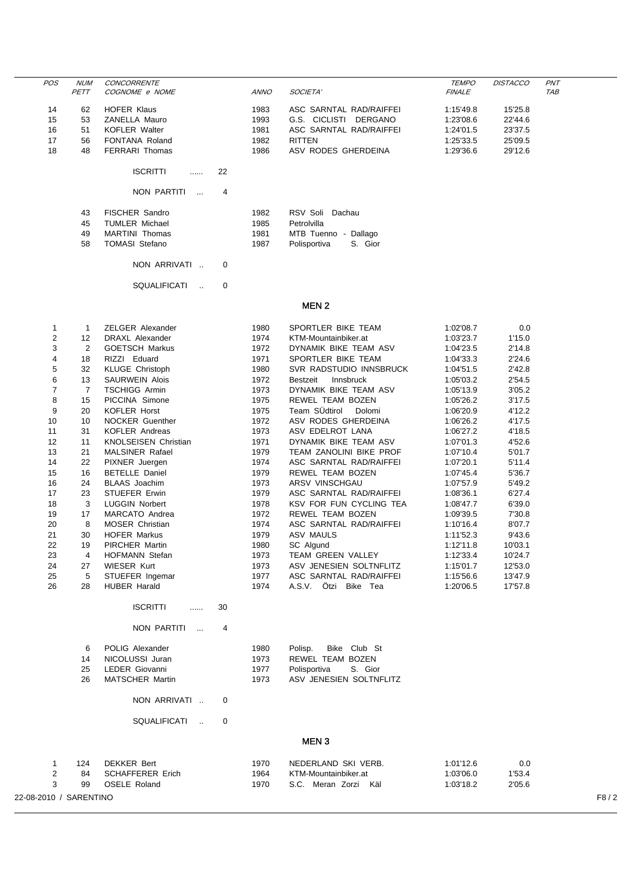| <b>POS</b>     | <b>NUM</b>     | <b>CONCORRENTE</b>                    |             |                         | <b>TEMPO</b>  | <b>DISTACCO</b> | PNT        |
|----------------|----------------|---------------------------------------|-------------|-------------------------|---------------|-----------------|------------|
|                | PETT           | COGNOME e NOME                        | <b>ANNO</b> | SOCIETA'                | <b>FINALE</b> |                 | <b>TAB</b> |
|                |                |                                       |             |                         |               |                 |            |
| 14             | 62             | HOFER Klaus                           | 1983        | ASC SARNTAL RAD/RAIFFEI | 1:15'49.8     | 15'25.8         |            |
| 15             | 53             | ZANELLA Mauro                         | 1993        | G.S. CICLISTI DERGANO   | 1:23'08.6     | 22'44.6         |            |
| 16             | 51             | <b>KOFLER Walter</b>                  | 1981        | ASC SARNTAL RAD/RAIFFEI | 1:24'01.5     | 23'37.5         |            |
| 17             | 56             | FONTANA Roland                        | 1982        | <b>RITTEN</b>           | 1:25'33.5     | 25'09.5         |            |
| 18             | 48             | <b>FERRARI Thomas</b>                 | 1986        | ASV RODES GHERDEINA     | 1:29'36.6     | 29'12.6         |            |
|                |                | <b>ISCRITTI</b><br>22<br>.            |             |                         |               |                 |            |
|                |                | NON PARTITI<br>4<br>$\sim$            |             |                         |               |                 |            |
|                | 43             | FISCHER Sandro                        | 1982        | RSV Soli Dachau         |               |                 |            |
|                | 45             | <b>TUMLER Michael</b>                 | 1985        | Petrolvilla             |               |                 |            |
|                | 49             | <b>MARTINI Thomas</b>                 | 1981        | MTB Tuenno - Dallago    |               |                 |            |
|                | 58             | <b>TOMASI Stefano</b>                 | 1987        | Polisportiva<br>S. Gior |               |                 |            |
|                |                |                                       |             |                         |               |                 |            |
|                |                | NON ARRIVATI<br>0                     |             |                         |               |                 |            |
|                |                | SQUALIFICATI<br>$\mathbf 0$<br>$\sim$ |             |                         |               |                 |            |
|                |                |                                       |             |                         |               |                 |            |
|                |                |                                       |             | MEN <sub>2</sub>        |               |                 |            |
| 1              | 1              | <b>ZELGER Alexander</b>               | 1980        | SPORTLER BIKE TEAM      | 1:02'08.7     | 0.0             |            |
| 2              | 12             | <b>DRAXL Alexander</b>                | 1974        | KTM-Mountainbiker.at    | 1:03'23.7     | 1'15.0          |            |
| 3              | 2              | <b>GOETSCH Markus</b>                 | 1972        | DYNAMIK BIKE TEAM ASV   | 1:04'23.5     | 2'14.8          |            |
| 4              | 18             | RIZZI Eduard                          | 1971        | SPORTLER BIKE TEAM      | 1:04'33.3     | 2'24.6          |            |
| 5              | 32             | <b>KLUGE Christoph</b>                | 1980        | SVR RADSTUDIO INNSBRUCK | 1:04'51.5     | 2'42.8          |            |
| 6              | 13             | <b>SAURWEIN Alois</b>                 | 1972        | Bestzeit<br>Innsbruck   | 1:05'03.2     | 2'54.5          |            |
| $\overline{7}$ | $\overline{7}$ | <b>TSCHIGG Armin</b>                  | 1973        | DYNAMIK BIKE TEAM ASV   | 1:05'13.9     | 3'05.2          |            |
| 8              | 15             | PICCINA Simone                        | 1975        | <b>REWEL TEAM BOZEN</b> | 1:05'26.2     | 3'17.5          |            |
| 9              | 20             | <b>KOFLER Horst</b>                   | 1975        | Team SÜdtirol<br>Dolomi | 1:06'20.9     | 4'12.2          |            |
| 10             | 10             | <b>NOCKER Guenther</b>                | 1972        | ASV RODES GHERDEINA     | 1:06'26.2     | 4'17.5          |            |
| 11             | 31             | <b>KOFLER Andreas</b>                 | 1973        | ASV EDELROT LANA        | 1:06'27.2     | 4'18.5          |            |
| 12             | 11             | <b>KNOLSEISEN Christian</b>           | 1971        | DYNAMIK BIKE TEAM ASV   | 1:07'01.3     | 4'52.6          |            |
| 13             | 21             | <b>MALSINER Rafael</b>                | 1979        | TEAM ZANOLINI BIKE PROF | 1:07'10.4     | 5'01.7          |            |
| 14             | 22             | PIXNER Juergen                        | 1974        | ASC SARNTAL RAD/RAIFFEI | 1:07'20.1     | 5'11.4          |            |
| 15             | 16             | <b>BETELLE Daniel</b>                 | 1979        | REWEL TEAM BOZEN        | 1:07'45.4     | 5'36.7          |            |
| AC             | 24             | $DI$ $A$ $A$ $C$ $I$ $O$ $O$ $N$ $m$  | 1072        | ADOV MINICOUCALL        | 4.07570       | F/AO.2          |            |

| 15 | 16 | BETELLE Daniel         | 1979 | REWEL TEAM BOZEN         | 1:0745.4  | 536.7   |
|----|----|------------------------|------|--------------------------|-----------|---------|
| 16 | 24 | <b>BLAAS</b> Joachim   | 1973 | ARSV VINSCHGAU           | 1:07'57.9 | 5'49.2  |
| 17 | 23 | STUEFER Erwin          | 1979 | ASC SARNTAL RAD/RAIFFEI  | 1:08'36.1 | 6'27.4  |
| 18 | 3  | <b>LUGGIN Norbert</b>  | 1978 | KSV FOR FUN CYCLING TEA  | 1:08'47.7 | 6'39.0  |
| 19 | 17 | MARCATO Andrea         | 1972 | REWEL TEAM BOZEN         | 1:09'39.5 | 7'30.8  |
| 20 | 8  | <b>MOSER Christian</b> | 1974 | ASC SARNTAL RAD/RAIFFEI  | 1:10'16.4 | 8'07.7  |
| 21 | 30 | <b>HOFER Markus</b>    | 1979 | ASV MAULS                | 1:11'52.3 | 9'43.6  |
| 22 | 19 | <b>PIRCHER Martin</b>  | 1980 | SC Algund                | 1:12'11.8 | 10'03.1 |
| 23 | 4  | <b>HOFMANN Stefan</b>  | 1973 | <b>TEAM GREEN VALLEY</b> | 1:12'33.4 | 10'24.7 |
| 24 | 27 | <b>WIESER Kurt</b>     | 1973 | ASV JENESIEN SOLTNFLITZ  | 1:15'01.7 | 12'53.0 |
| 25 | 5  | STUEFER Ingemar        | 1977 | ASC SARNTAL RAD/RAIFFEI  | 1:15'56.6 | 13'47.9 |
| 26 | 28 | <b>HUBER Harald</b>    | 1974 | Ötzi Bike Tea<br>A.S.V.  | 1:20'06.5 | 17'57.8 |
|    |    | <b>ISCRITTI</b><br>    | 30   |                          |           |         |
|    |    |                        |      |                          |           |         |

## NON PARTITI ... 4

|    | POLIG Alexander    | 1980 | Polisp. Bike Club St    |
|----|--------------------|------|-------------------------|
|    | 14 NICOLUSSI Juran | 1973 | REWEL TEAM BOZEN        |
| 25 | LEDER Giovanni     | 1977 | Polisportiva S. Gior    |
| 26 | MATSCHER Martin    | 1973 | ASV JENESIEN SOLTNFLITZ |

NON ARRIVATI .. 0

SQUALIFICATI .. 0

## MEN 3

|                        | 124 | <b>DEKKER Bert</b> | 1970 | NEDERLAND SKI VERB.     | 1:01'12.6 | 0.0    |      |
|------------------------|-----|--------------------|------|-------------------------|-----------|--------|------|
|                        | 84  | SCHAFFERER Erich   | 1964 | KTM-Mountainbiker.at    | 1:03'06.0 | 1'53.4 |      |
|                        | 99  | OSELE Roland       | 1970 | S.C. Meran Zorzi<br>Käl | 1:03'18.2 | 2'05.6 |      |
| 22-08-2010 / SARENTINO |     |                    |      |                         |           |        | F8/2 |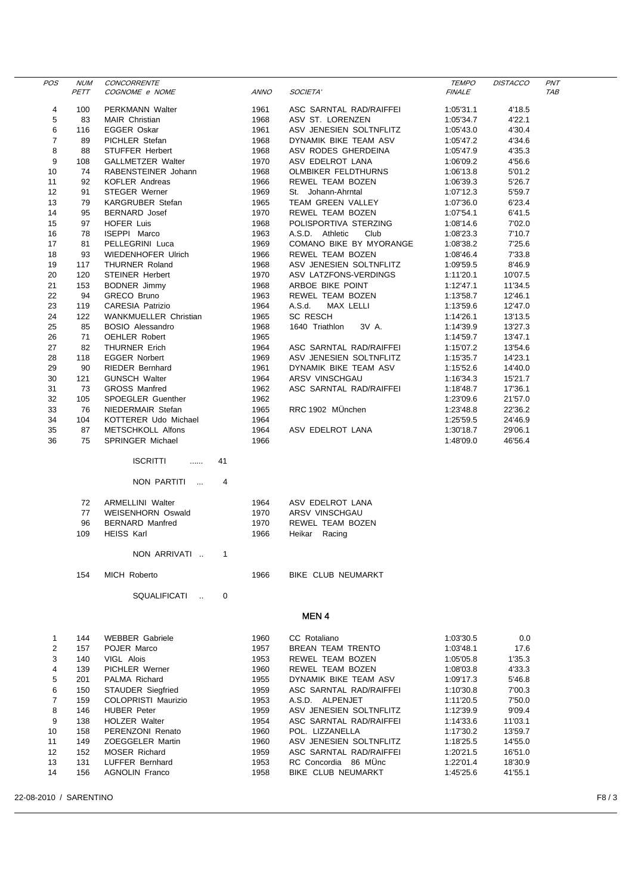| POS            | <b>NUM</b><br>PETT | CONCORRENTE<br>COGNOME e NOME | <b>ANNO</b> | SOCIETA'                   | <i><b>TEMPO</b></i><br><b>FINALE</b> | DISTACCO | <b>PNT</b><br>TAB |
|----------------|--------------------|-------------------------------|-------------|----------------------------|--------------------------------------|----------|-------------------|
| 4              | 100                | PERKMANN Walter               | 1961        | ASC SARNTAL RAD/RAIFFEI    | 1:05'31.1                            | 4'18.5   |                   |
| 5              | 83                 | <b>MAIR Christian</b>         | 1968        | ASV ST. LORENZEN           | 1:05'34.7                            | 4'22.1   |                   |
| 6              | 116                | <b>EGGER Oskar</b>            | 1961        | ASV JENESIEN SOLTNFLITZ    | 1:05'43.0                            | 4'30.4   |                   |
| 7              | 89                 | PICHLER Stefan                | 1968        | DYNAMIK BIKE TEAM ASV      | 1:05'47.2                            | 4'34.6   |                   |
| 8              | 88                 | STUFFER Herbert               | 1968        | ASV RODES GHERDEINA        | 1:05'47.9                            | 4'35.3   |                   |
| 9              | 108                | GALLMETZER Walter             | 1970        | ASV EDELROT LANA           | 1:06'09.2                            | 4'56.6   |                   |
| 10             | 74                 | RABENSTEINER Johann           | 1968        | <b>OLMBIKER FELDTHURNS</b> | 1:06'13.8                            | 5'01.2   |                   |
| 11             | 92                 | <b>KOFLER Andreas</b>         | 1966        | REWEL TEAM BOZEN           | 1:06'39.3                            | 5'26.7   |                   |
| 12             | 91                 | <b>STEGER Werner</b>          | 1969        | St. Johann-Ahrntal         | 1:07'12.3                            | 5'59.7   |                   |
| 13             | 79                 | <b>KARGRUBER Stefan</b>       | 1965        | TEAM GREEN VALLEY          | 1:07'36.0                            | 6'23.4   |                   |
| 14             | 95                 | <b>BERNARD</b> Josef          | 1970        | REWEL TEAM BOZEN           | 1:07'54.1                            | 6'41.5   |                   |
| 15             | 97                 | HOFER Luis                    | 1968        | POLISPORTIVA STERZING      | 1:08'14.6                            | 7'02.0   |                   |
| 16             | 78                 | ISEPPI Marco                  | 1963        | A.S.D. Athletic<br>Club    | 1:08'23.3                            | 7'10.7   |                   |
| 17             | 81                 | PELLEGRINI Luca               | 1969        | COMANO BIKE BY MYORANGE    | 1:08'38.2                            | 7'25.6   |                   |
| 18             | 93                 | <b>WIEDENHOFER Ulrich</b>     | 1966        | REWEL TEAM BOZEN           | 1:08'46.4                            | 7'33.8   |                   |
| 19             | 117                | <b>THURNER Roland</b>         | 1968        | ASV JENESIEN SOLTNFLITZ    | 1:09'59.5                            | 8'46.9   |                   |
| 20             | 120                | <b>STEINER Herbert</b>        | 1970        | ASV LATZFONS-VERDINGS      | 1:11'20.1                            | 10'07.5  |                   |
| 21             | 153                | <b>BODNER Jimmy</b>           | 1968        | ARBOE BIKE POINT           | 1:12'47.1                            | 11'34.5  |                   |
| 22             | 94                 | GRECO Bruno                   | 1963        | REWEL TEAM BOZEN           | 1:13'58.7                            | 12'46.1  |                   |
| 23             | 119                | <b>CARESIA Patrizio</b>       | 1964        | A.S.d.<br>MAX LELLI        | 1:13'59.6                            | 12'47.0  |                   |
| 24             | 122                | WANKMUELLER Christian         | 1965        | <b>SC RESCH</b>            | 1:14'26.1                            | 13'13.5  |                   |
| 25             | 85                 | <b>BOSIO Alessandro</b>       | 1968        | 1640 Triathlon<br>3V A.    | 1:14'39.9                            | 13'27.3  |                   |
| 26             | 71                 | <b>OEHLER Robert</b>          | 1965        |                            | 1:14'59.7                            | 13'47.1  |                   |
| 27             | 82                 | <b>THURNER Erich</b>          | 1964        | ASC SARNTAL RAD/RAIFFEI    | 1:15'07.2                            | 13'54.6  |                   |
| 28             | 118                | <b>EGGER Norbert</b>          | 1969        | ASV JENESIEN SOLTNFLITZ    | 1:15'35.7                            | 14'23.1  |                   |
| 29             | 90                 | <b>RIEDER Bernhard</b>        | 1961        | DYNAMIK BIKE TEAM ASV      | 1:15'52.6                            | 14'40.0  |                   |
| 30             | 121                | <b>GUNSCH Walter</b>          | 1964        | ARSV VINSCHGAU             | 1:16'34.3                            | 15'21.7  |                   |
| 31             | 73                 | <b>GROSS Manfred</b>          | 1962        | ASC SARNTAL RAD/RAIFFEI    | 1:18'48.7                            | 17'36.1  |                   |
| 32             | 105                | SPOEGLER Guenther             | 1962        |                            | 1:23'09.6                            | 21'57.0  |                   |
| 33             | 76                 | NIEDERMAIR Stefan             | 1965        | RRC 1902 MÜnchen           | 1:23'48.8                            | 22'36.2  |                   |
| 34             | 104                | KOTTERER Udo Michael          | 1964        |                            |                                      | 24'46.9  |                   |
| 35             | 87                 | METSCHKOLL Alfons             | 1964        | ASV EDELROT LANA           | 1:25'59.5                            | 29'06.1  |                   |
| 36             | 75                 | SPRINGER Michael              | 1966        |                            | 1:30'18.7<br>1:48'09.0               | 46'56.4  |                   |
|                |                    |                               |             |                            |                                      |          |                   |
|                |                    | <b>ISCRITTI</b><br>41<br>.    |             |                            |                                      |          |                   |
|                |                    | NON PARTITI<br>4              |             |                            |                                      |          |                   |
|                | 72                 | <b>ARMELLINI</b> Walter       | 1964        | ASV EDELROT LANA           |                                      |          |                   |
|                | 77                 | <b>WEISENHORN Oswald</b>      | 1970        | ARSV VINSCHGAU             |                                      |          |                   |
|                | 96                 | <b>BERNARD Manfred</b>        | 1970        | REWEL TEAM BOZEN           |                                      |          |                   |
|                | 109                | <b>HEISS Karl</b>             | 1966        | Heikar Racing              |                                      |          |                   |
|                |                    |                               |             |                            |                                      |          |                   |
|                |                    | NON ARRIVATI<br>1             |             |                            |                                      |          |                   |
|                | 154                | <b>MICH Roberto</b>           | 1966        | BIKE CLUB NEUMARKT         |                                      |          |                   |
|                |                    | SQUALIFICATI<br>0             |             |                            |                                      |          |                   |
|                |                    |                               |             | <b>MEN4</b>                |                                      |          |                   |
|                |                    |                               |             |                            |                                      |          |                   |
| 1              | 144                | <b>WEBBER Gabriele</b>        | 1960        | CC Rotaliano               | 1:03'30.5                            | 0.0      |                   |
| 2              | 157                | POJER Marco                   | 1957        | <b>BREAN TEAM TRENTO</b>   | 1:03'48.1                            | 17.6     |                   |
| 3              | 140                | VIGL Alois                    | 1953        | REWEL TEAM BOZEN           | 1:05'05.8                            | 1'35.3   |                   |
| 4              | 139                | <b>PICHLER Werner</b>         | 1960        | REWEL TEAM BOZEN           | 1:08'03.8                            | 4'33.3   |                   |
| 5              | 201                | PALMA Richard                 | 1955        | DYNAMIK BIKE TEAM ASV      | 1:09'17.3                            | 5'46.8   |                   |
| 6              | 150                | <b>STAUDER Siegfried</b>      | 1959        | ASC SARNTAL RAD/RAIFFEI    | 1:10'30.8                            | 7'00.3   |                   |
| $\overline{7}$ | 159                | COLOPRISTI Maurizio           | 1953        | A.S.D. ALPENJET            | 1:11'20.5                            | 7'50.0   |                   |
| 8              | 146                | <b>HUBER Peter</b>            | 1959        | ASV JENESIEN SOLTNFLITZ    | 1:12'39.9                            | 9'09.4   |                   |
| 9              | 138                | <b>HOLZER Walter</b>          | 1954        | ASC SARNTAL RAD/RAIFFEI    | 1:14'33.6                            | 11'03.1  |                   |
| 10             | 158                | PERENZONI Renato              | 1960        | POL. LIZZANELLA            | 1:17'30.2                            | 13'59.7  |                   |
| 11             | 149                | ZOEGGELER Martin              | 1960        | ASV JENESIEN SOLTNFLITZ    | 1:18'25.5                            | 14'55.0  |                   |
| 12             | 152                | MOSER Richard                 | 1959        | ASC SARNTAL RAD/RAIFFEI    | 1:20'21.5                            | 16'51.0  |                   |
| 13             | 131                | LUFFER Bernhard               | 1953        | RC Concordia 86 MÜnc       | 1:22'01.4                            | 18'30.9  |                   |
| 14             | 156                | <b>AGNOLIN Franco</b>         | 1958        | BIKE CLUB NEUMARKT         | 1:45'25.6                            | 41'55.1  |                   |

22-08-2010 / SARENTINO F8 / 3